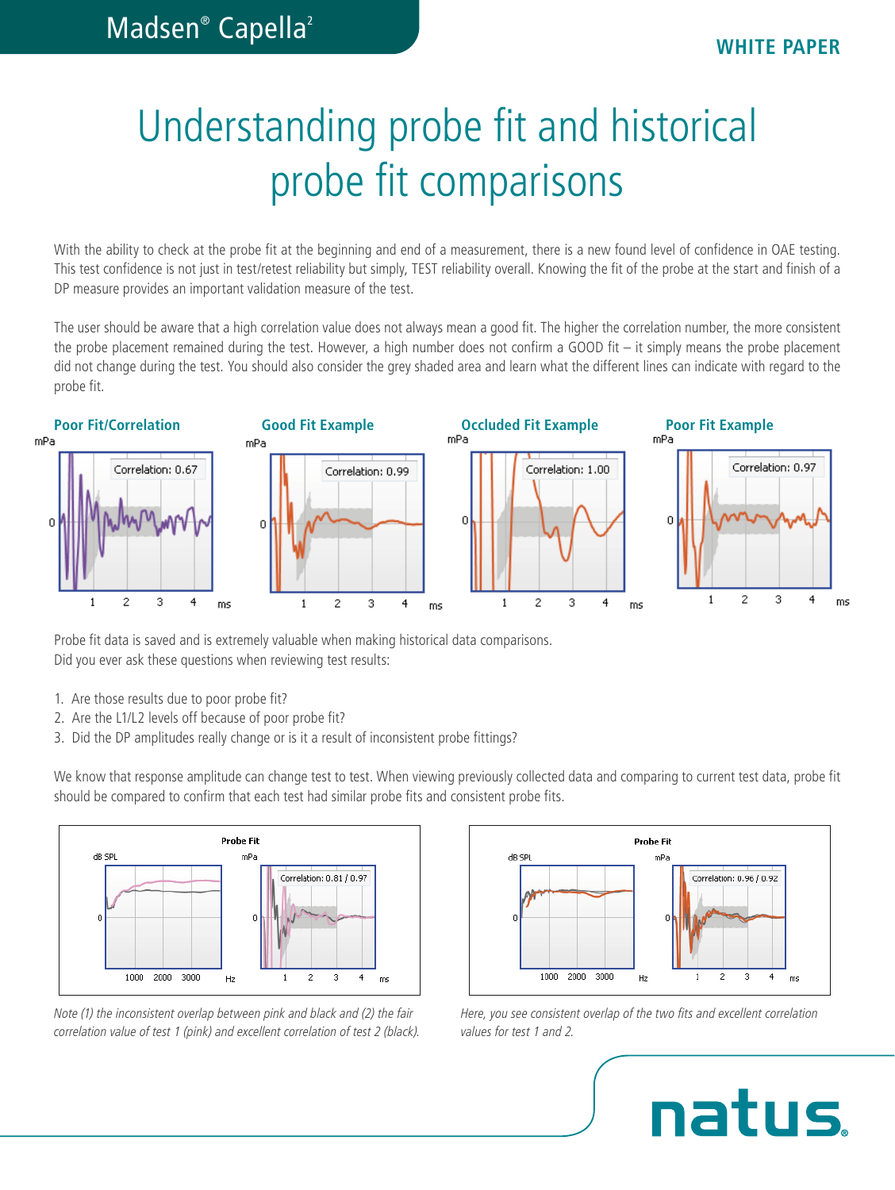# Understanding probe fit and historical probe fit comparisons

With the ability to check at the probe fit at the beginning and end of a measurement, there is a new found level of confidence in OAE testing. This test confidence is not just in test/retest reliability but simply, TEST reliability overall. Knowing the fit of the probe at the start and finish of a DP measure provides an important validation measure of the test.

The user should be aware that a high correlation value does not always mean a good fit. The higher the correlation number, the more consistent the probe placement remained during the test. However, a high number does not confirm a GOOD fit – it simply means the probe placement did not change during the test. You should also consider the grey shaded area and learn what the different lines can indicate with regard to the probe fit.



Probe fit data is saved and is extremely valuable when making historical data comparisons. Did you ever ask these questions when reviewing test results:

- 1. Are those results due to poor probe fit?
- 2. Are the L1/L2 levels off because of poor probe fit?
- 3. Did the DP amplitudes really change or is it a result of inconsistent probe fittings?

We know that response amplitude can change test to test. When viewing previously collected data and comparing to current test data, probe fit should be compared to confirm that each test had similar probe fits and consistent probe fits.



*Note (1) the inconsistent overlap between pink and black and (2) the fair correlation value of test 1 (pink) and excellent correlation of test 2 (black).*



*Here, you see consistent overlap of the two fits and excellent correlation values for test 1 and 2.*